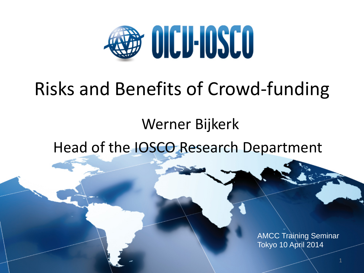

## Risks and Benefits of Crowd-funding

#### Werner Bijkerk

Head of the IOSCO Research Department

AMCC Training Seminar Tokyo 10 April 2014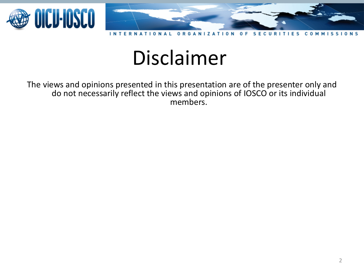

**NTF** R  $0 R G$  $\overline{z}$ O n F. c O

## Disclaimer

The views and opinions presented in this presentation are of the presenter only and do not necessarily reflect the views and opinions of IOSCO or its individual members.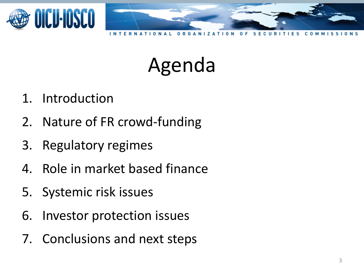

- 1. Introduction
- 2. Nature of FR crowd-funding
- 3. Regulatory regimes
- 4. Role in market based finance
- 5. Systemic risk issues
- 6. Investor protection issues
- 7. Conclusions and next steps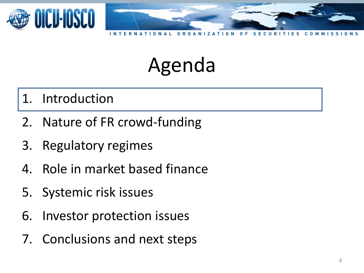

#### 1. Introduction

- 2. Nature of FR crowd-funding
- 3. Regulatory regimes
- 4. Role in market based finance
- 5. Systemic risk issues
- 6. Investor protection issues
- 7. Conclusions and next steps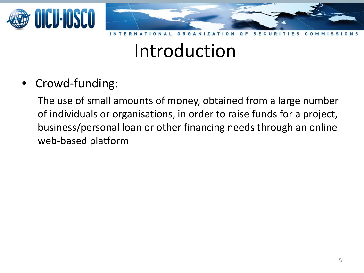

#### Introduction

• Crowd-funding:

The use of small amounts of money, obtained from a large number of individuals or organisations, in order to raise funds for a project, business/personal loan or other financing needs through an online web-based platform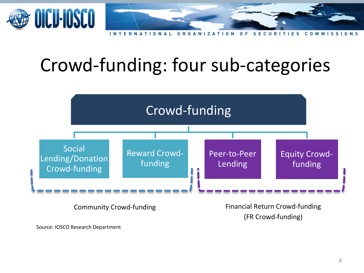

n

### Crowd-funding: four sub-categories



Source: IOSCO Research Department

(FR Crowd-funding)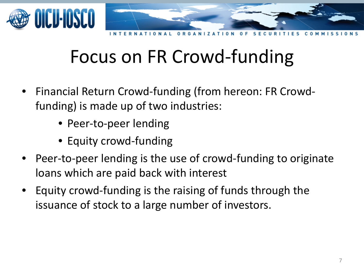

## Focus on FR Crowd-funding

- Financial Return Crowd-funding (from hereon: FR Crowdfunding) is made up of two industries:
	- Peer-to-peer lending
	- Equity crowd-funding
- Peer-to-peer lending is the use of crowd-funding to originate loans which are paid back with interest
- Equity crowd-funding is the raising of funds through the issuance of stock to a large number of investors.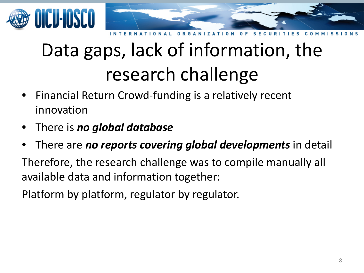



# Data gaps, lack of information, the research challenge

- Financial Return Crowd-funding is a relatively recent innovation
- There is *no global database*
- There are *no reports covering global developments* in detail

Therefore, the research challenge was to compile manually all available data and information together:

Platform by platform, regulator by regulator.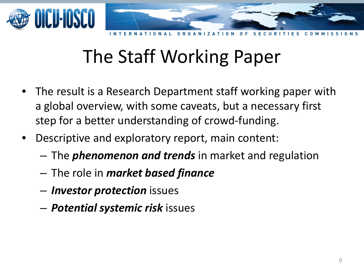

## The Staff Working Paper

- The result is a Research Department staff working paper with a global overview, with some caveats, but a necessary first step for a better understanding of crowd-funding.
- Descriptive and exploratory report, main content:
	- The *phenomenon and trends* in market and regulation
	- The role in *market based finance*
	- *Investor protection* issues
	- *Potential systemic risk* issues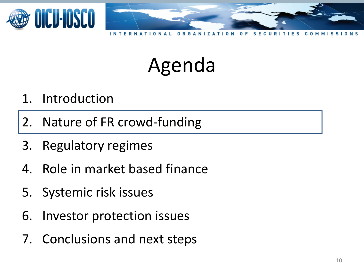

#### 1. Introduction

2. Nature of FR crowd-funding

- 3. Regulatory regimes
- 4. Role in market based finance
- 5. Systemic risk issues
- 6. Investor protection issues
- 7. Conclusions and next steps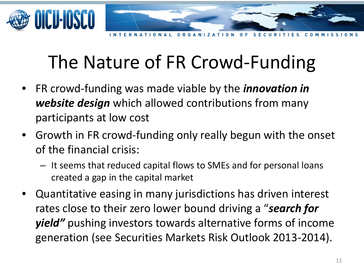

 $0 R G$ 

## The Nature of FR Crowd-Funding

- FR crowd-funding was made viable by the *innovation in website design* which allowed contributions from many participants at low cost
- Growth in FR crowd-funding only really begun with the onset of the financial crisis:
	- It seems that reduced capital flows to SMEs and for personal loans created a gap in the capital market
- Quantitative easing in many jurisdictions has driven interest rates close to their zero lower bound driving a "*search for yield"* pushing investors towards alternative forms of income generation (see Securities Markets Risk Outlook 2013-2014).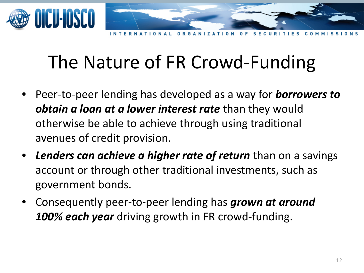

n

## The Nature of FR Crowd-Funding

- Peer-to-peer lending has developed as a way for *borrowers to obtain a loan at a lower interest rate* than they would otherwise be able to achieve through using traditional avenues of credit provision.
- *Lenders can achieve a higher rate of return* than on a savings account or through other traditional investments, such as government bonds.
- Consequently peer-to-peer lending has *grown at around*  100% each year driving growth in FR crowd-funding.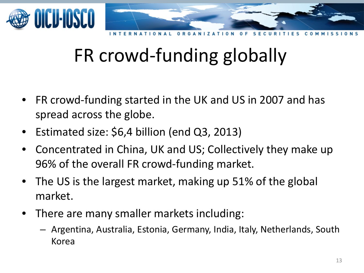

## FR crowd-funding globally

- FR crowd-funding started in the UK and US in 2007 and has spread across the globe.
- Estimated size: \$6,4 billion (end Q3, 2013)
- Concentrated in China, UK and US; Collectively they make up 96% of the overall FR crowd-funding market.
- The US is the largest market, making up 51% of the global market.
- There are many smaller markets including:
	- Argentina, Australia, Estonia, Germany, India, Italy, Netherlands, South Korea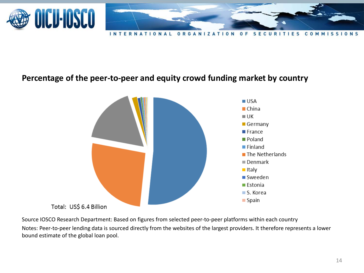

**SECURITIES INTERNATIONA ORGANIZATION**  $\mathbf{0}$ c 0 M M

#### **Percentage of the peer-to-peer and equity crowd funding market by country**



Source IOSCO Research Department: Based on figures from selected peer-to-peer platforms within each country Notes: Peer-to-peer lending data is sourced directly from the websites of the largest providers. It therefore represents a lower bound estimate of the global loan pool.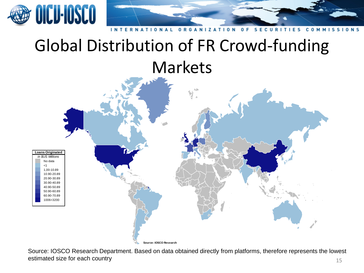

#### **INTERNATIONAL ORGANIZATION**  $0 F$ S **ECURI** S 1 **N** S

#### Global Distribution of FR Crowd-funding Markets



**Source: IOSCO Research**

15 Source: IOSCO Research Department. Based on data obtained directly from platforms, therefore represents the lowest estimated size for each country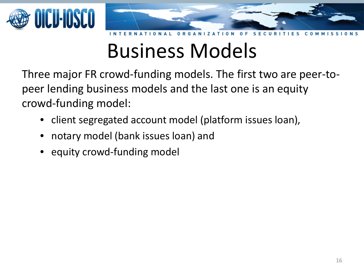

## Business Models

Three major FR crowd-funding models. The first two are peer-topeer lending business models and the last one is an equity crowd-funding model:

- client segregated account model (platform issues loan),
- notary model (bank issues loan) and
- equity crowd-funding model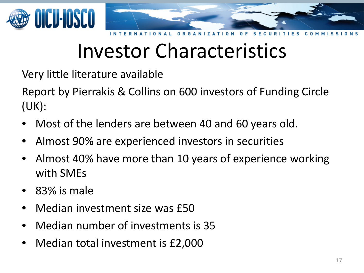

## Investor Characteristics

Very little literature available

Report by Pierrakis & Collins on 600 investors of Funding Circle (UK):

- Most of the lenders are between 40 and 60 years old.
- Almost 90% are experienced investors in securities
- Almost 40% have more than 10 years of experience working with SMEs
- 83% is male
- Median investment size was £50
- Median number of investments is 35
- Median total investment is £2,000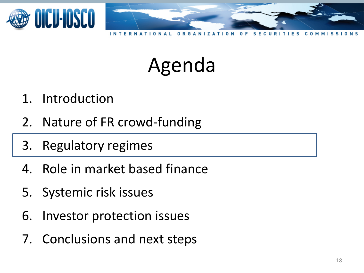

- 1. Introduction
- 2. Nature of FR crowd-funding
- 3. Regulatory regimes
- 4. Role in market based finance
- 5. Systemic risk issues
- 6. Investor protection issues
- 7. Conclusions and next steps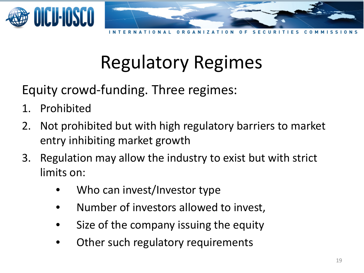

 $\Omega$ 

## Regulatory Regimes

Equity crowd-funding. Three regimes:

- 1. Prohibited
- 2. Not prohibited but with high regulatory barriers to market entry inhibiting market growth
- 3. Regulation may allow the industry to exist but with strict limits on:
	- Who can invest/Investor type
	- Number of investors allowed to invest,
	- Size of the company issuing the equity
	- Other such regulatory requirements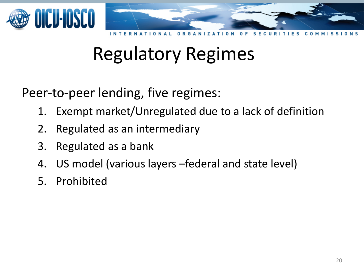

#### Regulatory Regimes

Peer-to-peer lending, five regimes:

- 1. Exempt market/Unregulated due to a lack of definition
- 2. Regulated as an intermediary
- 3. Regulated as a bank
- 4. US model (various layers –federal and state level)
- 5. Prohibited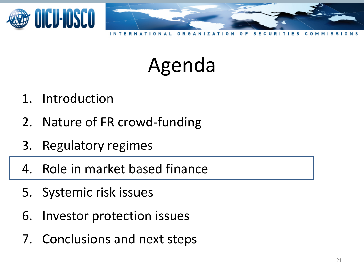

- 1. Introduction
- 2. Nature of FR crowd-funding
- 3. Regulatory regimes
- 4. Role in market based finance
- 5. Systemic risk issues
- 6. Investor protection issues
- 7. Conclusions and next steps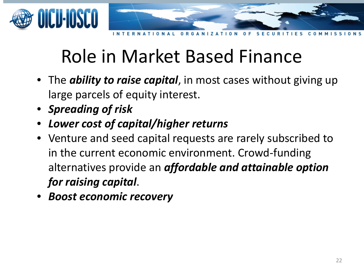

## Role in Market Based Finance

- The *ability to raise capital*, in most cases without giving up large parcels of equity interest.
- *Spreading of risk*
- *Lower cost of capital/higher returns*
- Venture and seed capital requests are rarely subscribed to in the current economic environment. Crowd-funding alternatives provide an *affordable and attainable option for raising capital*.
- *Boost economic recovery*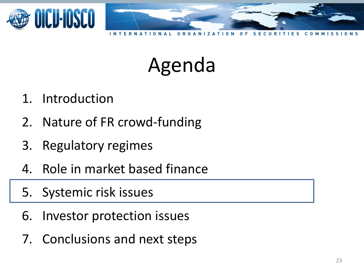

- 1. Introduction
- 2. Nature of FR crowd-funding
- 3. Regulatory regimes
- 4. Role in market based finance
- 5. Systemic risk issues
- 6. Investor protection issues
- 7. Conclusions and next steps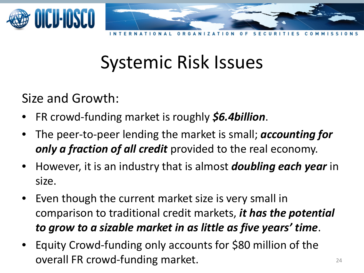

<sup>n</sup>

#### Systemic Risk Issues

Size and Growth:

- FR crowd-funding market is roughly *\$6.4billion*.
- The peer-to-peer lending the market is small; *accounting for only a fraction of all credit* provided to the real economy.
- However, it is an industry that is almost *doubling each year* in size.
- Even though the current market size is very small in comparison to traditional credit markets, *it has the potential to grow to a sizable market in as little as five years' time*.
- Equity Crowd-funding only accounts for \$80 million of the overall FR crowd-funding market. The contract of the state of the state of the state of the state of the state of the state of the state of the state of the state of the state of the state of the state of the state of the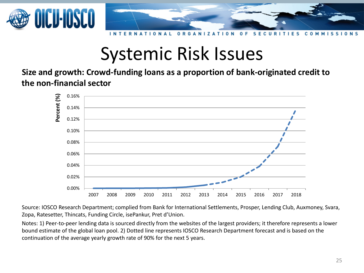



#### O Е C

#### Systemic Risk Issues

**Size and growth: Crowd-funding loans as a proportion of bank-originated credit to the non-financial sector**



Source: IOSCO Research Department; complied from Bank for International Settlements, Prosper, Lending Club, Auxmoney, Svara, Zopa, Ratesetter, Thincats, Funding Circle, isePankur, Pret d'Union.

Notes: 1) Peer-to-peer lending data is sourced directly from the websites of the largest providers; it therefore represents a lower bound estimate of the global loan pool. 2) Dotted line represents IOSCO Research Department forecast and is based on the continuation of the average yearly growth rate of 90% for the next 5 years.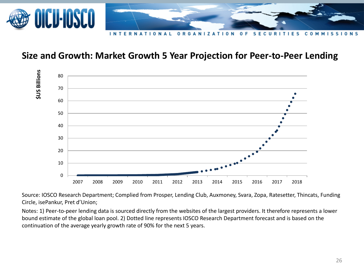

#### **Size and Growth: Market Growth 5 Year Projection for Peer-to-Peer Lending**



Source: IOSCO Research Department; Complied from Prosper, Lending Club, Auxmoney, Svara, Zopa, Ratesetter, Thincats, Funding Circle, isePankur, Pret d'Union;

Notes: 1) Peer-to-peer lending data is sourced directly from the websites of the largest providers. It therefore represents a lower bound estimate of the global loan pool. 2) Dotted line represents IOSCO Research Department forecast and is based on the continuation of the average yearly growth rate of 90% for the next 5 years.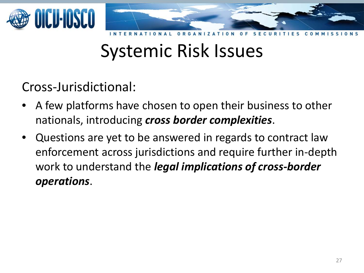

#### Systemic Risk Issues

#### Cross-Jurisdictional:

- A few platforms have chosen to open their business to other nationals, introducing *cross border complexities*.
- Questions are yet to be answered in regards to contract law enforcement across jurisdictions and require further in-depth work to understand the *legal implications of cross-border operations*.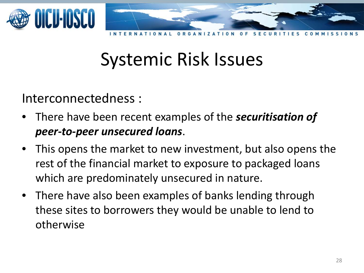

#### Systemic Risk Issues

#### Interconnectedness :

- There have been recent examples of the *securitisation of peer-to-peer unsecured loans*.
- This opens the market to new investment, but also opens the rest of the financial market to exposure to packaged loans which are predominately unsecured in nature.
- There have also been examples of banks lending through these sites to borrowers they would be unable to lend to otherwise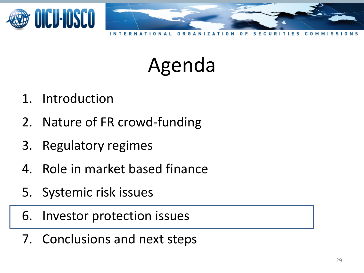

- 1. Introduction
- 2. Nature of FR crowd-funding
- 3. Regulatory regimes
- 4. Role in market based finance
- 5. Systemic risk issues
- 6. Investor protection issues
- 7. Conclusions and next steps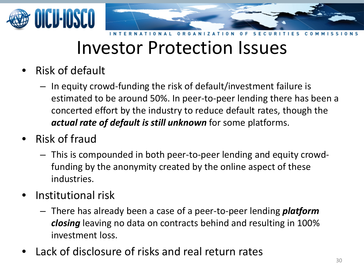

#### Investor Protection Issues

- Risk of default
	- In equity crowd-funding the risk of default/investment failure is estimated to be around 50%. In peer-to-peer lending there has been a concerted effort by the industry to reduce default rates, though the *actual rate of default is still unknown* for some platforms.
- Risk of fraud
	- This is compounded in both peer-to-peer lending and equity crowdfunding by the anonymity created by the online aspect of these industries.
- Institutional risk
	- There has already been a case of a peer-to-peer lending *platform closing* leaving no data on contracts behind and resulting in 100% investment loss.
- Lack of disclosure of risks and real return rates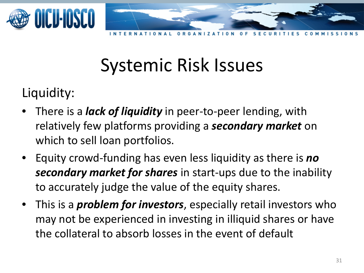

n

## Systemic Risk Issues

#### Liquidity:

- There is a *lack of liquidity* in peer-to-peer lending, with relatively few platforms providing a *secondary market* on which to sell loan portfolios.
- Equity crowd-funding has even less liquidity as there is *no secondary market for shares* in start-ups due to the inability to accurately judge the value of the equity shares.
- This is a *problem for investors*, especially retail investors who may not be experienced in investing in illiquid shares or have the collateral to absorb losses in the event of default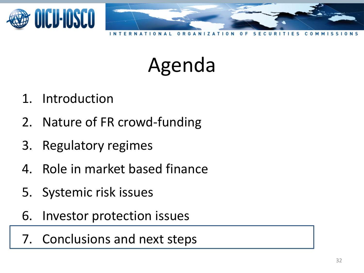

- 1. Introduction
- 2. Nature of FR crowd-funding
- 3. Regulatory regimes
- 4. Role in market based finance
- 5. Systemic risk issues
- 6. Investor protection issues
- 7. Conclusions and next steps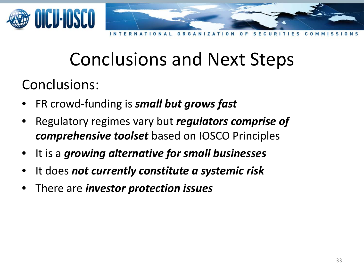

### Conclusions and Next Steps

Conclusions:

- FR crowd-funding is *small but grows fast*
- Regulatory regimes vary but *regulators comprise of comprehensive toolset* based on IOSCO Principles
- It is a *growing alternative for small businesses*
- It does *not currently constitute a systemic risk*
- There are *investor protection issues*